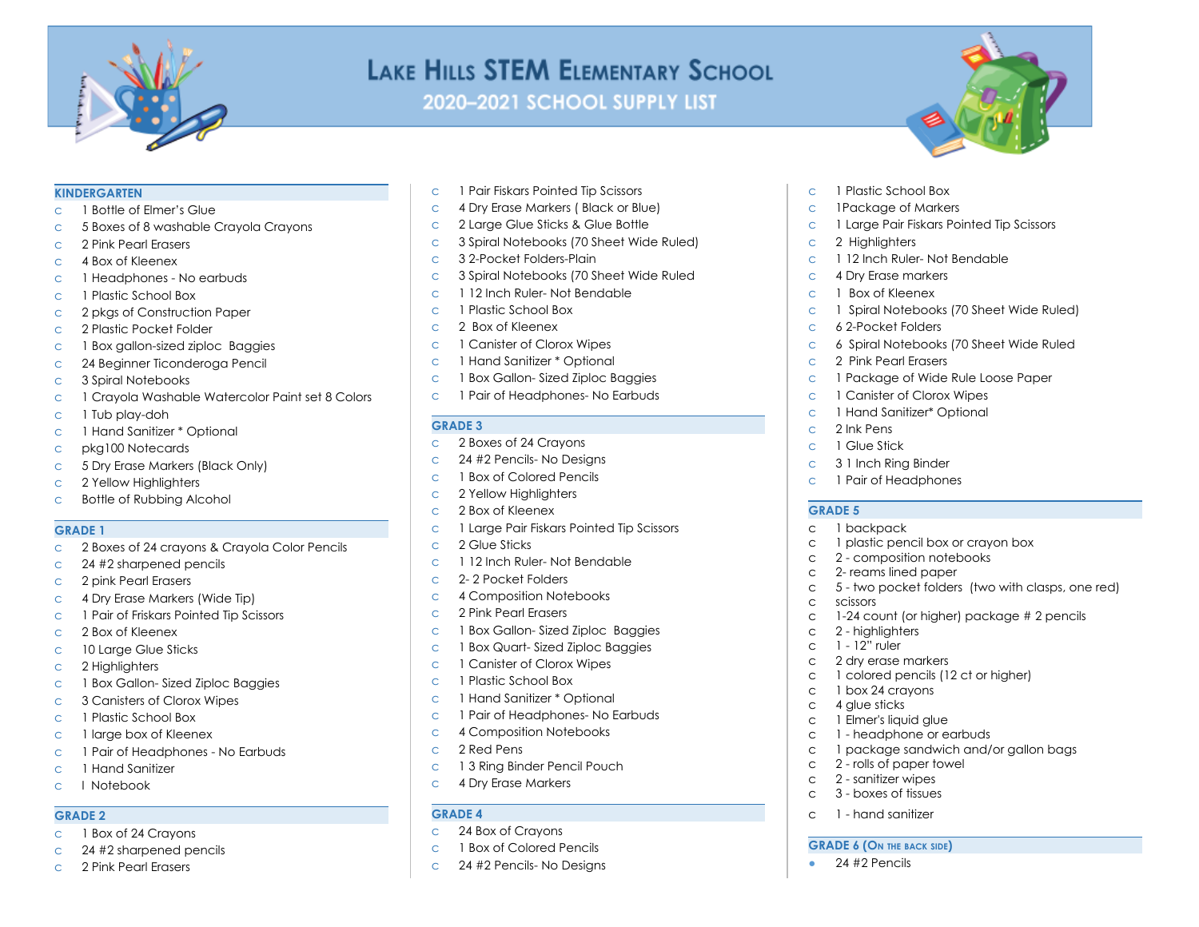

# LAKE HILLS STEM ELEMENTARY SCHOOL

2020-2021 SCHOOL SUPPLY LIST

#### **KINDERGARTEN**

- c 1 Bottle of Elmer's Glue
- c 5 Boxes of 8 washable Crayola Crayons
- c 2 Pink Pearl Erasers
- c 4 Box of Kleenex
- c 1 Headphones No earbuds
- c 1 Plastic School Box
- c 2 pkgs of Construction Paper
- c 2 Plastic Pocket Folder
- c 1 Box gallon-sized ziploc Baggies
- c 24 Beginner Ticonderoga Pencil
- c 3 Spiral Notebooks
- c 1 Crayola Washable Watercolor Paint set 8 Colors
- c 1 Tub play-doh
- c 1 Hand Sanitizer \* Optional
- c pkg100 Notecards
- c 5 Dry Erase Markers (Black Only)
- c 2 Yellow Highlighters
- c Bottle of Rubbing Alcohol

### **GRADE 1**

- c 2 Boxes of 24 crayons & Crayola Color Pencils
- c 24 #2 sharpened pencils
- c 2 pink Pearl Erasers
- c 4 Dry Erase Markers (Wide Tip)
- c 1 Pair of Friskars Pointed Tip Scissors
- c 2 Box of Kleenex
- c 10 Large Glue Sticks
- c 2 Highlighters
- c 1 Box Gallon- Sized Ziploc Baggies
- c 3 Canisters of Clorox Wipes
- c 1 Plastic School Box
- c 1 large box of Kleenex
- c 1 Pair of Headphones No Earbuds
- c 1 Hand Sanitizer
- c I Notebook

#### **GRADE 2**

- c 1 Box of 24 Crayons
- c 24 #2 sharpened pencils
- c 2 Pink Pearl Erasers
- c 1 Pair Fiskars Pointed Tip Scissors
- c 4 Dry Erase Markers ( Black or Blue)
- c 2 Large Glue Sticks & Glue Bottle
- c 3 Spiral Notebooks (70 Sheet Wide Ruled)
- c 3 2-Pocket Folders-Plain
- c 3 Spiral Notebooks (70 Sheet Wide Ruled
- c 1 12 Inch Ruler- Not Bendable
- c 1 Plastic School Box
- c 2 Box of Kleenex
- c 1 Canister of Clorox Wipes
- c 1 Hand Sanitizer \* Optional
- c 1 Box Gallon- Sized Ziploc Baggies
- c 1 Pair of Headphones- No Earbuds

### **GRADE 3**

- c 2 Boxes of 24 Crayons
- c 24 #2 Pencils- No Designs
- c 1 Box of Colored Pencils
- c 2 Yellow Highlighters
- c 2 Box of Kleenex
- c 1 Large Pair Fiskars Pointed Tip Scissors
- c 2 Glue Sticks
- c 1 12 Inch Ruler- Not Bendable
- c 2- 2 Pocket Folders
- c 4 Composition Notebooks
- c 2 Pink Pearl Erasers
- c 1 Box Gallon- Sized Ziploc Baggies
- c 1 Box Quart- Sized Ziploc Baggies
- c 1 Canister of Clorox Wipes
- c 1 Plastic School Box
- c 1 Hand Sanitizer \* Optional
- c 1 Pair of Headphones- No Earbuds
- c 4 Composition Notebooks
- c 2 Red Pens
- c 1 3 Ring Binder Pencil Pouch
- c 4 Dry Erase Markers

## **GRADE 4**

- c 24 Box of Crayons
- c 1 Box of Colored Pencils
- c 24 #2 Pencils- No Designs
- c 1 Plastic School Box
- c 1Package of Markers
- c 1 Large Pair Fiskars Pointed Tip Scissors
- c 2 Highlighters
- c 1 12 Inch Ruler- Not Bendable
- c 4 Dry Erase markers
- c 1 Box of Kleenex
- c 1 Spiral Notebooks (70 Sheet Wide Ruled)
- c 6 2-Pocket Folders
- c 6 Spiral Notebooks (70 Sheet Wide Ruled
- c 2 Pink Pearl Erasers
- c 1 Package of Wide Rule Loose Paper

c 1 plastic pencil box or crayon box c 2 - composition notebooks c 2- reams lined paper

c 1 colored pencils (12 ct or higher)

c 5 - two pocket folders (two with clasps, one red)

c 1-24 count (or higher) package # 2 pencils

c 1 package sandwich and/or gallon bags

- c 1 Canister of Clorox Wipes
- c 1 Hand Sanitizer\* Optional
- c 2 Ink Pens

**GRADE 5** c 1 backpack

c scissors

c 2 - highlighters c 1 - 12" ruler c 2 dry erase markers

c 1 box 24 crayons c 4 glue sticks c 1 Elmer's liquid glue c 1 - headphone or earbuds

c 2 - rolls of paper towel c 2 - sanitizer wipes c 3 - boxes of tissues c 1 - hand sanitizer

**GRADE 6 (O<sup>N</sup> THE BACK SIDE)**  $\bullet$  24 #2 Pencils

- c 1 Glue Stick
- c 3 1 Inch Ring Binder
- c 1 Pair of Headphones